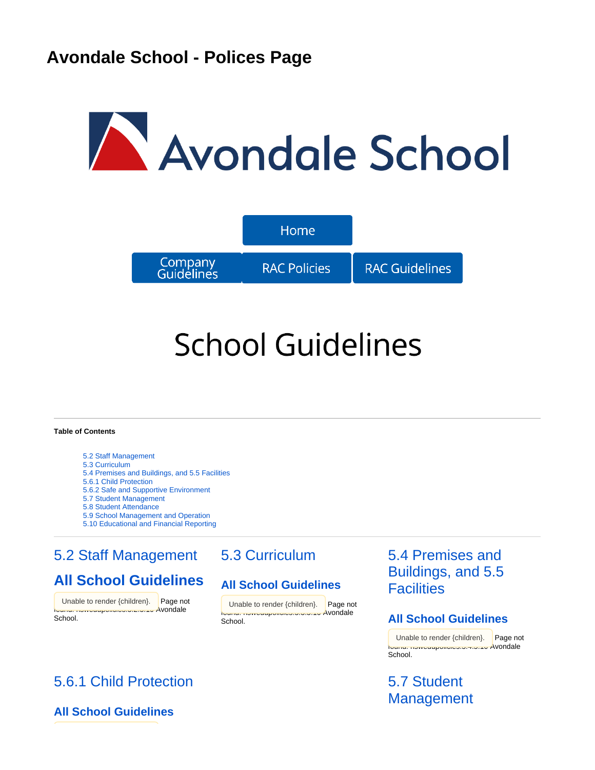# Avondale School



# **School Guidelines**

#### **Table of Contents**

- [5.2 Staff Management](#page-0-0)
- [5.3 Curriculum](#page-0-0)
- [5.4 Premises and Buildings, and 5.5 Facilities](#page-0-0)
- [5.6.1 Child Protection](#page-0-1)
- [5.6.2 Safe and Supportive Environment](#page-1-0)
- [5.7 Student Management](#page-0-1)
- [5.8 Student Attendance](#page-1-1)
- [5.9 School Management and Operation](#page-1-1)
- [5.10 Educational and Financial Reporting](#page-1-1)

# <span id="page-0-0"></span>[5.2 Staff Management](https://confluence.adventist.edu.au/pages/viewpage.action?pageId=2753065)

# **[All School Guidelines](https://confluence.adventist.edu.au/display/nsweduintranet/RAC+-+Guideline+Comparison+5.2+Staff+Management)**

Unable to render {children}. Page not found: nswedupolicies:5.2.5.10 Avondale School.

<span id="page-0-1"></span>[5.6.1 Child Protection](https://confluence.adventist.edu.au/pages/viewpage.action?pageId=2753607)

# [5.3 Curriculum](https://confluence.adventist.edu.au/pages/viewpage.action?pageId=2752577)

#### **[All School Guidelines](https://confluence.adventist.edu.au/display/nsweduintranet/RAC+-+Guideline+Comparison+5.3+Curriculum)**

{children}. Page not Unable to render {children}. Page not found: nswedupolicies:5.3.5.10 Avondale School.

# [5.4 Premises and](https://confluence.adventist.edu.au/pages/viewpage.action?pageId=2752727)  [Buildings, and 5.5](https://confluence.adventist.edu.au/pages/viewpage.action?pageId=2752727)  **[Facilities](https://confluence.adventist.edu.au/pages/viewpage.action?pageId=2752727)**

#### **[All School Guidelines](https://confluence.adventist.edu.au/display/nsweduintranet/RAC+-+Guideline+Comparison+5.4+Premises+and+Buildings+and+5.5+Facilities)**

Unable to render {children}. Page not found: nswedupolicies:5.4.5.10 Avondale School.

# [5.7 Student](https://confluence.adventist.edu.au/pages/viewpage.action?pageId=2752721)  **[Management](https://confluence.adventist.edu.au/pages/viewpage.action?pageId=2752721)**

#### **[All School Guidelines](https://confluence.adventist.edu.au/display/nsweduintranet/RAC+-+Guideline+Comparison+5.6.1+Child+Protection)**